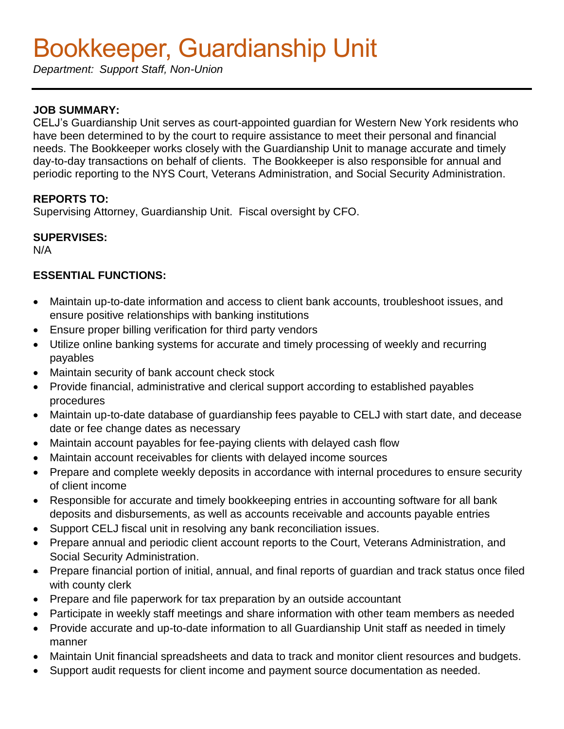# Bookkeeper, Guardianship Unit

*Department: Support Staff, Non-Union* 

## **JOB SUMMARY:**

CELJ's Guardianship Unit serves as court-appointed guardian for Western New York residents who have been determined to by the court to require assistance to meet their personal and financial needs. The Bookkeeper works closely with the Guardianship Unit to manage accurate and timely day-to-day transactions on behalf of clients. The Bookkeeper is also responsible for annual and periodic reporting to the NYS Court, Veterans Administration, and Social Security Administration.

## **REPORTS TO:**

Supervising Attorney, Guardianship Unit. Fiscal oversight by CFO.

#### **SUPERVISES:**

N/A

## **ESSENTIAL FUNCTIONS:**

- Maintain up-to-date information and access to client bank accounts, troubleshoot issues, and ensure positive relationships with banking institutions
- Ensure proper billing verification for third party vendors
- Utilize online banking systems for accurate and timely processing of weekly and recurring payables
- Maintain security of bank account check stock
- Provide financial, administrative and clerical support according to established payables procedures
- Maintain up-to-date database of guardianship fees payable to CELJ with start date, and decease date or fee change dates as necessary
- Maintain account payables for fee-paying clients with delayed cash flow
- Maintain account receivables for clients with delayed income sources
- Prepare and complete weekly deposits in accordance with internal procedures to ensure security of client income
- Responsible for accurate and timely bookkeeping entries in accounting software for all bank deposits and disbursements, as well as accounts receivable and accounts payable entries
- Support CELJ fiscal unit in resolving any bank reconciliation issues.
- Prepare annual and periodic client account reports to the Court, Veterans Administration, and Social Security Administration.
- Prepare financial portion of initial, annual, and final reports of guardian and track status once filed with county clerk
- Prepare and file paperwork for tax preparation by an outside accountant
- Participate in weekly staff meetings and share information with other team members as needed
- Provide accurate and up-to-date information to all Guardianship Unit staff as needed in timely manner
- Maintain Unit financial spreadsheets and data to track and monitor client resources and budgets.
- Support audit requests for client income and payment source documentation as needed.